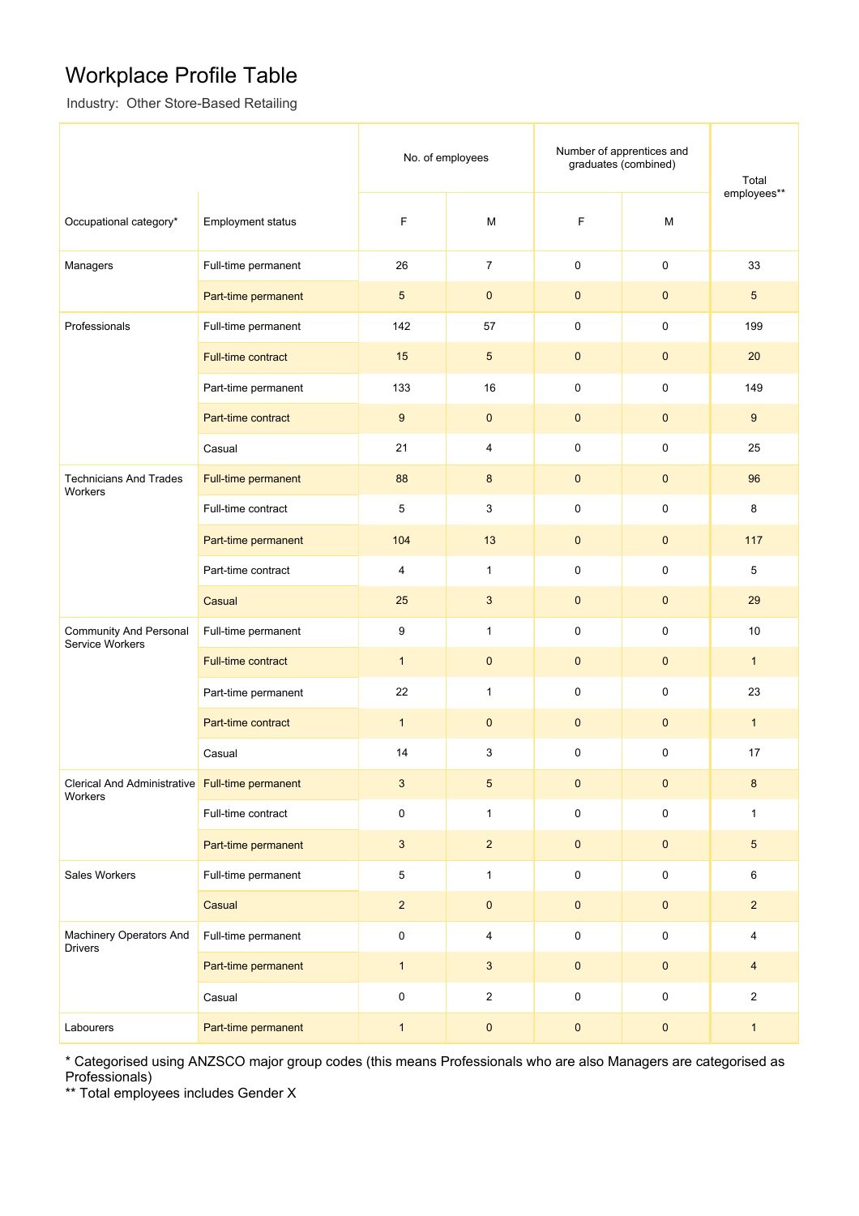## Workplace Profile Table

Industry: Other Store-Based Retailing

|                                                            |                           | No. of employees |                | Number of apprentices and<br>graduates (combined) |                     | Total<br>employees** |
|------------------------------------------------------------|---------------------------|------------------|----------------|---------------------------------------------------|---------------------|----------------------|
| Occupational category*                                     | <b>Employment status</b>  | F                | M              | F                                                 | M                   |                      |
| Managers                                                   | Full-time permanent       | 26               | $\overline{7}$ | 0                                                 | $\mathsf{O}\xspace$ | 33                   |
|                                                            | Part-time permanent       | $5\phantom{.0}$  | $\mathbf{0}$   | $\pmb{0}$                                         | $\mathbf{0}$        | $5\overline{)}$      |
| Professionals                                              | Full-time permanent       | 142              | 57             | 0                                                 | $\mathbf 0$         | 199                  |
|                                                            | <b>Full-time contract</b> | 15               | $5\phantom{1}$ | $\pmb{0}$                                         | $\mathbf{0}$        | 20                   |
|                                                            | Part-time permanent       | 133              | 16             | 0                                                 | $\mathbf 0$         | 149                  |
|                                                            | Part-time contract        | 9                | $\mathbf{0}$   | $\mathbf 0$                                       | $\mathbf{0}$        | 9                    |
|                                                            | Casual                    | 21               | $\overline{4}$ | 0                                                 | $\mathbf 0$         | 25                   |
| <b>Technicians And Trades</b><br>Workers                   | Full-time permanent       | 88               | 8              | $\mathbf 0$                                       | $\mathbf{0}$        | 96                   |
|                                                            | Full-time contract        | 5                | 3              | 0                                                 | $\mathbf 0$         | 8                    |
|                                                            | Part-time permanent       | 104              | 13             | $\mathbf{0}$                                      | $\mathbf{0}$        | 117                  |
|                                                            | Part-time contract        | 4                | $\mathbf{1}$   | 0                                                 | $\mathbf 0$         | 5                    |
|                                                            | Casual                    | 25               | 3              | $\pmb{0}$                                         | $\mathbf{0}$        | 29                   |
| <b>Community And Personal</b><br>Service Workers           | Full-time permanent       | 9                | $\mathbf{1}$   | 0                                                 | $\mathbf 0$         | 10                   |
|                                                            | <b>Full-time contract</b> | $\mathbf{1}$     | $\mathbf{0}$   | $\mathbf{0}$                                      | $\mathbf{0}$        | $\mathbf{1}$         |
|                                                            | Part-time permanent       | 22               | $\mathbf{1}$   | 0                                                 | $\mathbf 0$         | 23                   |
|                                                            | Part-time contract        | $\mathbf{1}$     | $\mathbf{0}$   | $\mathbf{0}$                                      | $\mathbf{0}$        | $\mathbf{1}$         |
|                                                            | Casual                    | 14               | 3              | 0                                                 | 0                   | 17                   |
| Clerical And Administrative Full-time permanent<br>Workers |                           | $\mathbf{3}$     | $\overline{5}$ | $\pmb{0}$                                         | $\pmb{0}$           | 8                    |
|                                                            | Full-time contract        | 0                | $\mathbf{1}$   | 0                                                 | $\pmb{0}$           | $\mathbf{1}$         |
|                                                            | Part-time permanent       | $\mathbf{3}$     | $\overline{2}$ | $\pmb{0}$                                         | $\pmb{0}$           | $5\phantom{.0}$      |
| Sales Workers                                              | Full-time permanent       | 5                | $\mathbf{1}$   | 0                                                 | $\mathbf 0$         | 6                    |
|                                                            | Casual                    | $\overline{2}$   | $\pmb{0}$      | $\pmb{0}$                                         | $\pmb{0}$           | $\overline{c}$       |
| Machinery Operators And<br><b>Drivers</b>                  | Full-time permanent       | $\pmb{0}$        | 4              | $\pmb{0}$                                         | $\mathbf 0$         | 4                    |
|                                                            | Part-time permanent       | $\mathbf{1}$     | $\mathbf{3}$   | $\pmb{0}$                                         | $\pmb{0}$           | 4                    |
|                                                            | Casual                    | $\pmb{0}$        | $\overline{2}$ | 0                                                 | $\mathbf 0$         | $\overline{2}$       |
| Labourers                                                  | Part-time permanent       | $\mathbf{1}$     | $\pmb{0}$      | $\pmb{0}$                                         | $\pmb{0}$           | $\mathbf{1}$         |

\* Categorised using ANZSCO major group codes (this means Professionals who are also Managers are categorised as Professionals)

\*\* Total employees includes Gender X